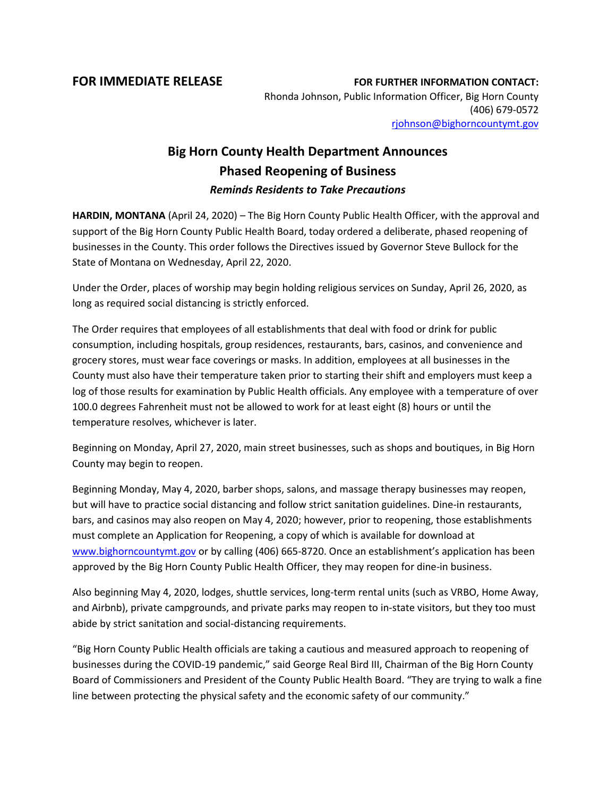**FOR IMMEDIATE RELEASE FOR FURTHER INFORMATION CONTACT:** Rhonda Johnson, Public Information Officer, Big Horn County (406) 679-0572 [rjohnson@bighorncountymt.gov](mailto:rjohnson@bighorncountymt.gov)

## **Big Horn County Health Department Announces Phased Reopening of Business** *Reminds Residents to Take Precautions*

**HARDIN, MONTANA** (April 24, 2020) – The Big Horn County Public Health Officer, with the approval and support of the Big Horn County Public Health Board, today ordered a deliberate, phased reopening of businesses in the County. This order follows the Directives issued by Governor Steve Bullock for the State of Montana on Wednesday, April 22, 2020.

Under the Order, places of worship may begin holding religious services on Sunday, April 26, 2020, as long as required social distancing is strictly enforced.

The Order requires that employees of all establishments that deal with food or drink for public consumption, including hospitals, group residences, restaurants, bars, casinos, and convenience and grocery stores, must wear face coverings or masks. In addition, employees at all businesses in the County must also have their temperature taken prior to starting their shift and employers must keep a log of those results for examination by Public Health officials. Any employee with a temperature of over 100.0 degrees Fahrenheit must not be allowed to work for at least eight (8) hours or until the temperature resolves, whichever is later.

Beginning on Monday, April 27, 2020, main street businesses, such as shops and boutiques, in Big Horn County may begin to reopen.

Beginning Monday, May 4, 2020, barber shops, salons, and massage therapy businesses may reopen, but will have to practice social distancing and follow strict sanitation guidelines. Dine-in restaurants, bars, and casinos may also reopen on May 4, 2020; however, prior to reopening, those establishments must complete an Application for Reopening, a copy of which is available for download at [www.bighorncountymt.gov](http://www.bighorncountymt.gov/) or by calling (406) 665-8720. Once an establishment's application has been approved by the Big Horn County Public Health Officer, they may reopen for dine-in business.

Also beginning May 4, 2020, lodges, shuttle services, long-term rental units (such as VRBO, Home Away, and Airbnb), private campgrounds, and private parks may reopen to in-state visitors, but they too must abide by strict sanitation and social-distancing requirements.

"Big Horn County Public Health officials are taking a cautious and measured approach to reopening of businesses during the COVID-19 pandemic," said George Real Bird III, Chairman of the Big Horn County Board of Commissioners and President of the County Public Health Board. "They are trying to walk a fine line between protecting the physical safety and the economic safety of our community."